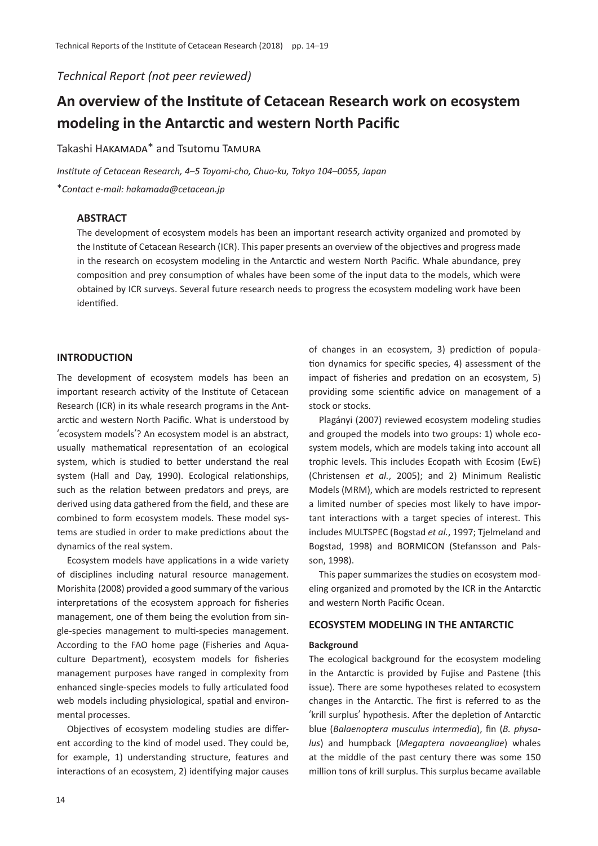*Technical Report (not peer reviewed)*

# **An overview of the Institute of Cetacean Research work on ecosystem modeling in the Antarctic and western North Pacific**

Takashi HAKAMADA\* and Tsutomu TAMURA

*Institute of Cetacean Research, 4*–*5 Toyomi-cho, Chuo-ku, Tokyo 104*–*0055, Japan* \**Contact e-mail: hakamada@cetacean.jp*

# **ABSTRACT**

The development of ecosystem models has been an important research activity organized and promoted by the Institute of Cetacean Research (ICR). This paper presents an overview of the objectives and progress made in the research on ecosystem modeling in the Antarctic and western North Pacific. Whale abundance, prey composition and prey consumption of whales have been some of the input data to the models, which were obtained by ICR surveys. Several future research needs to progress the ecosystem modeling work have been identified.

# **INTRODUCTION**

The development of ecosystem models has been an important research activity of the Institute of Cetacean Research (ICR) in its whale research programs in the Antarctic and western North Pacific. What is understood by ʻecosystem models'? An ecosystem model is an abstract, usually mathematical representation of an ecological system, which is studied to better understand the real system (Hall and Day, 1990). Ecological relationships, such as the relation between predators and preys, are derived using data gathered from the field, and these are combined to form ecosystem models. These model systems are studied in order to make predictions about the dynamics of the real system.

Ecosystem models have applications in a wide variety of disciplines including natural resource management. Morishita (2008) provided a good summary of the various interpretations of the ecosystem approach for fisheries management, one of them being the evolution from single-species management to multi-species management. According to the FAO home page (Fisheries and Aquaculture Department), ecosystem models for fisheries management purposes have ranged in complexity from enhanced single-species models to fully articulated food web models including physiological, spatial and environmental processes.

Objectives of ecosystem modeling studies are different according to the kind of model used. They could be, for example, 1) understanding structure, features and interactions of an ecosystem, 2) identifying major causes

of changes in an ecosystem, 3) prediction of population dynamics for specific species, 4) assessment of the impact of fisheries and predation on an ecosystem, 5) providing some scientific advice on management of a stock or stocks.

Plagányi (2007) reviewed ecosystem modeling studies and grouped the models into two groups: 1) whole ecosystem models, which are models taking into account all trophic levels. This includes Ecopath with Ecosim (EwE) (Christensen *et al.*, 2005); and 2) Minimum Realistic Models (MRM), which are models restricted to represent a limited number of species most likely to have important interactions with a target species of interest. This includes MULTSPEC (Bogstad *et al.*, 1997; Tjelmeland and Bogstad, 1998) and BORMICON (Stefansson and Palsson, 1998).

This paper summarizes the studies on ecosystem modeling organized and promoted by the ICR in the Antarctic and western North Pacific Ocean.

# **ECOSYSTEM MODELING IN THE ANTARCTIC**

## **Background**

The ecological background for the ecosystem modeling in the Antarctic is provided by Fujise and Pastene (this issue). There are some hypotheses related to ecosystem changes in the Antarctic. The first is referred to as the ʻkrill surplus' hypothesis. After the depletion of Antarctic blue (*Balaenoptera musculus intermedia*), fin (*B. physalus*) and humpback (*Megaptera novaeangliae*) whales at the middle of the past century there was some 150 million tons of krill surplus. This surplus became available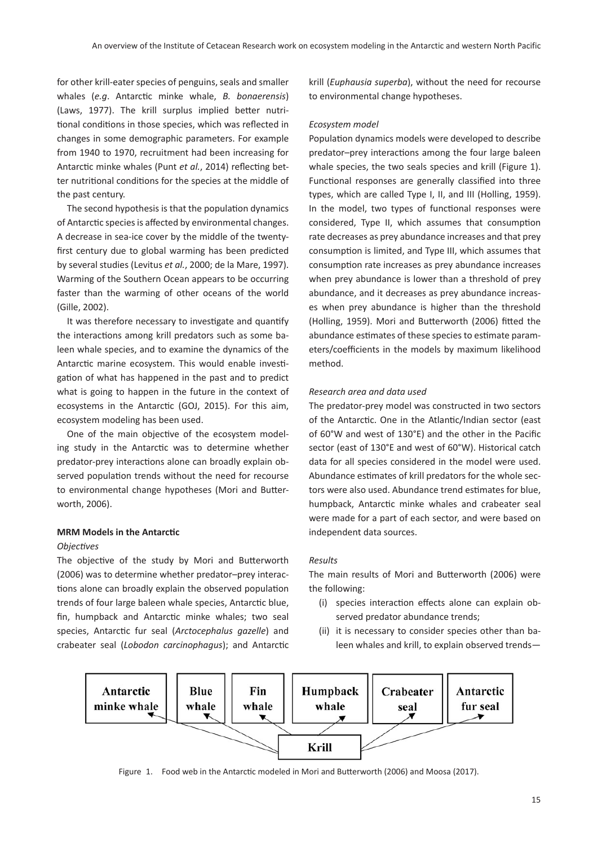for other krill-eater species of penguins, seals and smaller whales (*e.g*. Antarctic minke whale, *B. bonaerensis*) (Laws, 1977). The krill surplus implied better nutritional conditions in those species, which was reflected in changes in some demographic parameters. For example from 1940 to 1970, recruitment had been increasing for Antarctic minke whales (Punt *et al.*, 2014) reflecting better nutritional conditions for the species at the middle of the past century.

The second hypothesis is that the population dynamics of Antarctic species is affected by environmental changes. A decrease in sea-ice cover by the middle of the twentyfirst century due to global warming has been predicted by several studies (Levitus *et al.*, 2000; de la Mare, 1997). Warming of the Southern Ocean appears to be occurring faster than the warming of other oceans of the world (Gille, 2002).

It was therefore necessary to investigate and quantify the interactions among krill predators such as some baleen whale species, and to examine the dynamics of the Antarctic marine ecosystem. This would enable investigation of what has happened in the past and to predict what is going to happen in the future in the context of ecosystems in the Antarctic (GOJ, 2015). For this aim, ecosystem modeling has been used.

One of the main objective of the ecosystem modeling study in the Antarctic was to determine whether predator-prey interactions alone can broadly explain observed population trends without the need for recourse to environmental change hypotheses (Mori and Butterworth, 2006).

### **MRM Models in the Antarctic**

## *Objectives*

The objective of the study by Mori and Butterworth (2006) was to determine whether predator–prey interactions alone can broadly explain the observed population trends of four large baleen whale species, Antarctic blue, fin, humpback and Antarctic minke whales; two seal species, Antarctic fur seal (*Arctocephalus gazelle*) and crabeater seal (*Lobodon carcinophagus*); and Antarctic krill (*Euphausia superba*), without the need for recourse to environmental change hypotheses.

#### *Ecosystem model*

Population dynamics models were developed to describe predator–prey interactions among the four large baleen whale species, the two seals species and krill (Figure 1). Functional responses are generally classified into three types, which are called Type I, II, and III (Holling, 1959). In the model, two types of functional responses were considered, Type II, which assumes that consumption rate decreases as prey abundance increases and that prey consumption is limited, and Type III, which assumes that consumption rate increases as prey abundance increases when prey abundance is lower than a threshold of prey abundance, and it decreases as prey abundance increases when prey abundance is higher than the threshold (Holling, 1959). Mori and Butterworth (2006) fitted the abundance estimates of these species to estimate parameters/coefficients in the models by maximum likelihood method.

## *Research area and data used*

The predator-prey model was constructed in two sectors of the Antarctic. One in the Atlantic/Indian sector (east of 60°W and west of 130°E) and the other in the Pacific sector (east of 130°E and west of 60°W). Historical catch data for all species considered in the model were used. Abundance estimates of krill predators for the whole sectors were also used. Abundance trend estimates for blue, humpback, Antarctic minke whales and crabeater seal were made for a part of each sector, and were based on independent data sources.

## *Results*

The main results of Mori and Butterworth (2006) were the following:

- (i) species interaction effects alone can explain observed predator abundance trends;
- (ii) it is necessary to consider species other than baleen whales and krill, to explain observed trends—



Figure 1. Food web in the Antarctic modeled in Mori and Butterworth (2006) and Moosa (2017).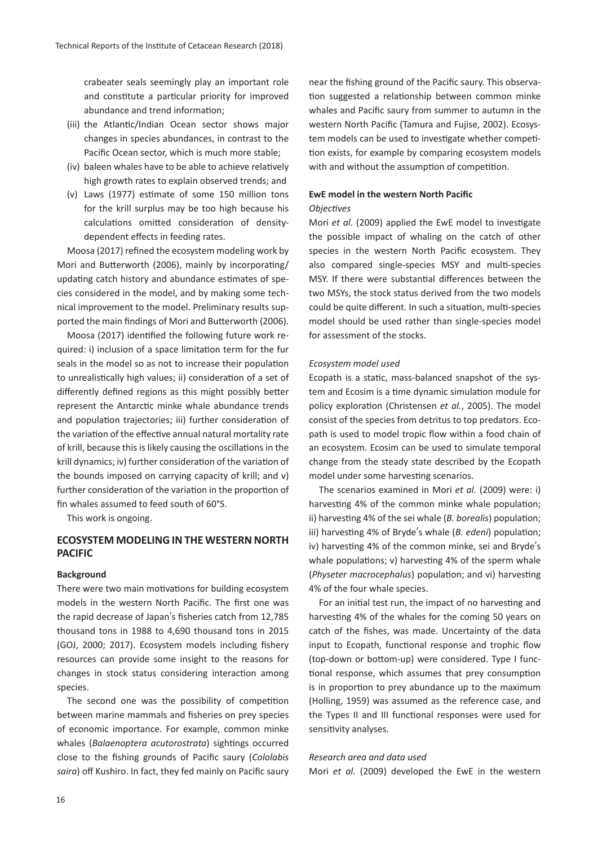crabeater seals seemingly play an important role and constitute a particular priority for improved abundance and trend information;

- (iii) the Atlantic/Indian Ocean sector shows major changes in species abundances, in contrast to the Pacific Ocean sector, which is much more stable;
- (iv) baleen whales have to be able to achieve relatively high growth rates to explain observed trends; and
- (v) Laws (1977) estimate of some 150 million tons for the krill surplus may be too high because his calculations omitted consideration of densitydependent effects in feeding rates.

Moosa (2017) refined the ecosystem modeling work by Mori and Butterworth (2006), mainly by incorporating/ updating catch history and abundance estimates of species considered in the model, and by making some technical improvement to the model. Preliminary results supported the main findings of Mori and Butterworth (2006).

Moosa (2017) identified the following future work required: i) inclusion of a space limitation term for the fur seals in the model so as not to increase their population to unrealistically high values; ii) consideration of a set of differently defined regions as this might possibly better represent the Antarctic minke whale abundance trends and population trajectories; iii) further consideration of the variation of the effective annual natural mortality rate of krill, because this is likely causing the oscillations in the krill dynamics; iv) further consideration of the variation of the bounds imposed on carrying capacity of krill; and v) further consideration of the variation in the proportion of fin whales assumed to feed south of 60°S.

This work is ongoing.

# **ECOSYSTEM MODELING IN THE WESTERN NORTH PACIFIC**

#### **Background**

There were two main motivations for building ecosystem models in the western North Pacific. The first one was the rapid decrease of Japan's fisheries catch from 12,785 thousand tons in 1988 to 4,690 thousand tons in 2015 (GOJ, 2000; 2017). Ecosystem models including fishery resources can provide some insight to the reasons for changes in stock status considering interaction among species.

The second one was the possibility of competition between marine mammals and fisheries on prey species of economic importance. For example, common minke whales (*Balaenoptera acutorostrata*) sightings occurred close to the fishing grounds of Pacific saury (*Cololabis saira*) off Kushiro. In fact, they fed mainly on Pacific saury near the fishing ground of the Pacific saury. This observation suggested a relationship between common minke whales and Pacific saury from summer to autumn in the western North Pacific (Tamura and Fujise, 2002). Ecosystem models can be used to investigate whether competition exists, for example by comparing ecosystem models with and without the assumption of competition.

# **EwE model in the western North Pacific** *Objectives*

Mori *et al.* (2009) applied the EwE model to investigate the possible impact of whaling on the catch of other species in the western North Pacific ecosystem. They also compared single-species MSY and multi-species MSY. If there were substantial differences between the two MSYs, the stock status derived from the two models could be quite different. In such a situation, multi-species model should be used rather than single-species model for assessment of the stocks.

## *Ecosystem model used*

Ecopath is a static, mass-balanced snapshot of the system and Ecosim is a time dynamic simulation module for policy exploration (Christensen *et al.*, 2005). The model consist of the species from detritus to top predators. Ecopath is used to model tropic flow within a food chain of an ecosystem. Ecosim can be used to simulate temporal change from the steady state described by the Ecopath model under some harvesting scenarios.

The scenarios examined in Mori *et al.* (2009) were: i) harvesting 4% of the common minke whale population; ii) harvesting 4% of the sei whale (*B. borealis*) population; iii) harvesting 4% of Bryde's whale (*B. edeni*) population; iv) harvesting 4% of the common minke, sei and Bryde's whale populations; v) harvesting 4% of the sperm whale (*Physeter macrocephalus*) population; and vi) harvesting 4% of the four whale species.

For an initial test run, the impact of no harvesting and harvesting 4% of the whales for the coming 50 years on catch of the fishes, was made. Uncertainty of the data input to Ecopath, functional response and trophic flow (top-down or bottom-up) were considered. Type I functional response, which assumes that prey consumption is in proportion to prey abundance up to the maximum (Holling, 1959) was assumed as the reference case, and the Types II and III functional responses were used for sensitivity analyses.

#### *Research area and data used*

Mori *et al.* (2009) developed the EwE in the western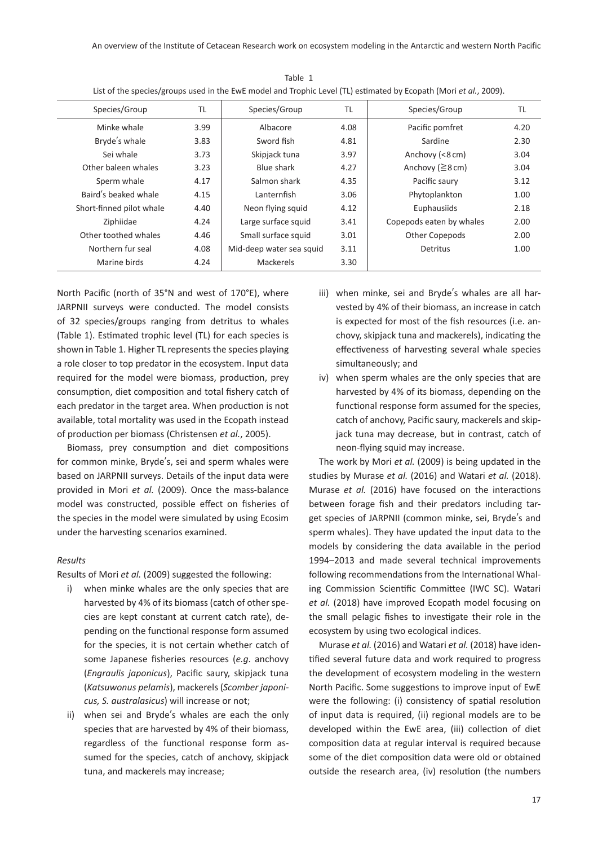| Species/Group            | TL   | Species/Group            | TL   | Species/Group            | TL   |
|--------------------------|------|--------------------------|------|--------------------------|------|
| Minke whale              | 3.99 | Albacore                 | 4.08 | Pacific pomfret          | 4.20 |
| Bryde's whale            | 3.83 | Sword fish               | 4.81 | Sardine                  | 2.30 |
| Sei whale                | 3.73 | Skipjack tuna            | 3.97 | Anchovy (<8 cm)          | 3.04 |
| Other baleen whales      | 3.23 | Blue shark               | 4.27 | Anchovy ( $\geq$ 8 cm)   | 3.04 |
| Sperm whale              | 4.17 | Salmon shark             | 4.35 | Pacific saury            | 3.12 |
| Baird's beaked whale     | 4.15 | Lanternfish              | 3.06 | Phytoplankton            | 1.00 |
| Short-finned pilot whale | 4.40 | Neon flying squid        | 4.12 | Euphausiids              | 2.18 |
| Ziphiidae                | 4.24 | Large surface squid      | 3.41 | Copepods eaten by whales | 2.00 |
| Other toothed whales     | 4.46 | Small surface squid      | 3.01 | Other Copepods           | 2.00 |
| Northern fur seal        | 4.08 | Mid-deep water sea squid | 3.11 | Detritus                 | 1.00 |
| Marine birds             | 4.24 | Mackerels                | 3.30 |                          |      |

Table 1 List of the species/groups used in the EwE model and Trophic Level (TL) estimated by Ecopath (Mori *et al.*, 2009).

North Pacific (north of 35°N and west of 170°E), where JARPNII surveys were conducted. The model consists of 32 species/groups ranging from detritus to whales (Table 1). Estimated trophic level (TL) for each species is shown in Table 1. Higher TL represents the species playing a role closer to top predator in the ecosystem. Input data required for the model were biomass, production, prey consumption, diet composition and total fishery catch of each predator in the target area. When production is not available, total mortality was used in the Ecopath instead of production per biomass (Christensen *et al.*, 2005).

Biomass, prey consumption and diet compositions for common minke, Bryde's, sei and sperm whales were based on JARPNII surveys. Details of the input data were provided in Mori *et al.* (2009). Once the mass-balance model was constructed, possible effect on fisheries of the species in the model were simulated by using Ecosim under the harvesting scenarios examined.

#### *Results*

Results of Mori *et al.* (2009) suggested the following:

- i) when minke whales are the only species that are harvested by 4% of its biomass (catch of other species are kept constant at current catch rate), depending on the functional response form assumed for the species, it is not certain whether catch of some Japanese fisheries resources (*e.g*. anchovy (*Engraulis japonicus*), Pacific saury, skipjack tuna (*Katsuwonus pelamis*), mackerels (*Scomber japonicus, S. australasicus*) will increase or not;
- ii) when sei and Bryde's whales are each the only species that are harvested by 4% of their biomass, regardless of the functional response form assumed for the species, catch of anchovy, skipjack tuna, and mackerels may increase;
- iii) when minke, sei and Bryde's whales are all harvested by 4% of their biomass, an increase in catch is expected for most of the fish resources (i.e. anchovy, skipjack tuna and mackerels), indicating the effectiveness of harvesting several whale species simultaneously; and
- iv) when sperm whales are the only species that are harvested by 4% of its biomass, depending on the functional response form assumed for the species, catch of anchovy, Pacific saury, mackerels and skipjack tuna may decrease, but in contrast, catch of neon-flying squid may increase.

The work by Mori *et al.* (2009) is being updated in the studies by Murase *et al.* (2016) and Watari *et al.* (2018). Murase *et al.* (2016) have focused on the interactions between forage fish and their predators including target species of JARPNII (common minke, sei, Bryde's and sperm whales). They have updated the input data to the models by considering the data available in the period 1994–2013 and made several technical improvements following recommendations from the International Whaling Commission Scientific Committee (IWC SC). Watari *et al.* (2018) have improved Ecopath model focusing on the small pelagic fishes to investigate their role in the ecosystem by using two ecological indices.

Murase *et al.* (2016) and Watari *et al.* (2018) have identified several future data and work required to progress the development of ecosystem modeling in the western North Pacific. Some suggestions to improve input of EwE were the following: (i) consistency of spatial resolution of input data is required, (ii) regional models are to be developed within the EwE area, (iii) collection of diet composition data at regular interval is required because some of the diet composition data were old or obtained outside the research area, (iv) resolution (the numbers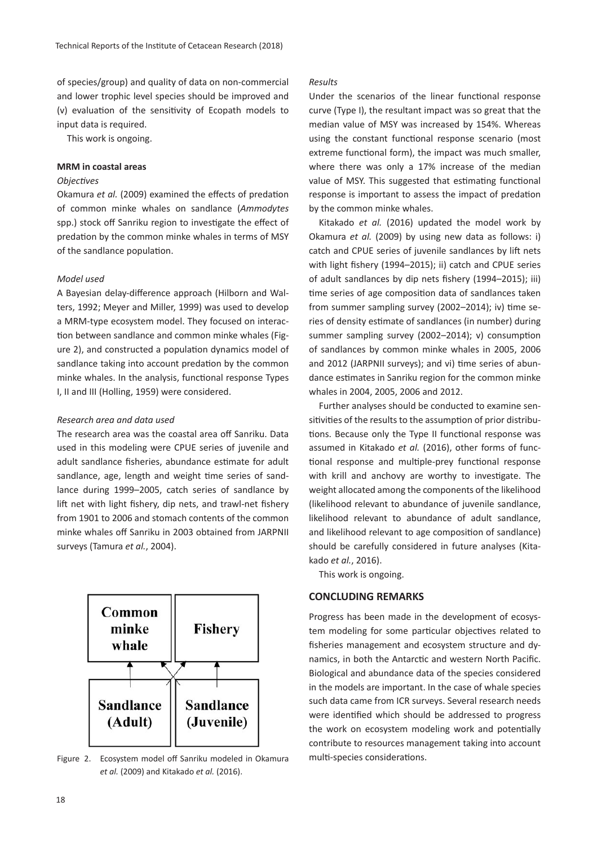of species/group) and quality of data on non-commercial and lower trophic level species should be improved and (v) evaluation of the sensitivity of Ecopath models to input data is required.

This work is ongoing.

### **MRM in coastal areas**

## *Objectives*

Okamura *et al.* (2009) examined the effects of predation of common minke whales on sandlance (*Ammodytes* spp.) stock off Sanriku region to investigate the effect of predation by the common minke whales in terms of MSY of the sandlance population.

# *Model used*

A Bayesian delay-difference approach (Hilborn and Walters, 1992; Meyer and Miller, 1999) was used to develop a MRM-type ecosystem model. They focused on interaction between sandlance and common minke whales (Figure 2), and constructed a population dynamics model of sandlance taking into account predation by the common minke whales. In the analysis, functional response Types I, II and III (Holling, 1959) were considered.

#### *Research area and data used*

The research area was the coastal area off Sanriku. Data used in this modeling were CPUE series of juvenile and adult sandlance fisheries, abundance estimate for adult sandlance, age, length and weight time series of sandlance during 1999–2005, catch series of sandlance by lift net with light fishery, dip nets, and trawl-net fishery from 1901 to 2006 and stomach contents of the common minke whales off Sanriku in 2003 obtained from JARPNII surveys (Tamura *et al.*, 2004).



Figure 2. Ecosystem model off Sanriku modeled in Okamura multi-species considerations. *et al.* (2009) and Kitakado *et al.* (2016).

# *Results*

Under the scenarios of the linear functional response curve (Type I), the resultant impact was so great that the median value of MSY was increased by 154%. Whereas using the constant functional response scenario (most extreme functional form), the impact was much smaller, where there was only a 17% increase of the median value of MSY. This suggested that estimating functional response is important to assess the impact of predation by the common minke whales.

Kitakado *et al.* (2016) updated the model work by Okamura *et al.* (2009) by using new data as follows: i) catch and CPUE series of juvenile sandlances by lift nets with light fishery (1994–2015); ii) catch and CPUE series of adult sandlances by dip nets fishery (1994–2015); iii) time series of age composition data of sandlances taken from summer sampling survey (2002–2014); iv) time series of density estimate of sandlances (in number) during summer sampling survey (2002–2014); v) consumption of sandlances by common minke whales in 2005, 2006 and 2012 (JARPNII surveys); and vi) time series of abundance estimates in Sanriku region for the common minke whales in 2004, 2005, 2006 and 2012.

Further analyses should be conducted to examine sensitivities of the results to the assumption of prior distributions. Because only the Type II functional response was assumed in Kitakado *et al.* (2016), other forms of functional response and multiple-prey functional response with krill and anchovy are worthy to investigate. The weight allocated among the components of the likelihood (likelihood relevant to abundance of juvenile sandlance, likelihood relevant to abundance of adult sandlance, and likelihood relevant to age composition of sandlance) should be carefully considered in future analyses (Kitakado *et al.*, 2016).

This work is ongoing.

## **CONCLUDING REMARKS**

Progress has been made in the development of ecosystem modeling for some particular objectives related to fisheries management and ecosystem structure and dynamics, in both the Antarctic and western North Pacific. Biological and abundance data of the species considered in the models are important. In the case of whale species such data came from ICR surveys. Several research needs were identified which should be addressed to progress the work on ecosystem modeling work and potentially contribute to resources management taking into account